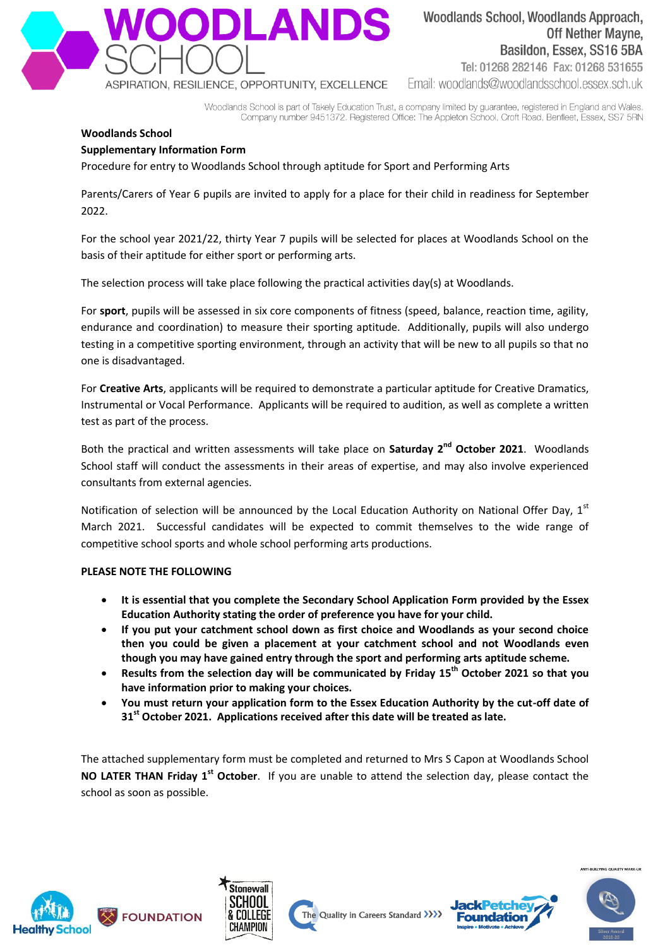

# Woodlands School, Woodlands Approach, **Off Nether Mayne.** Basildon, Essex, SS16 5BA

Tel: 01268 282146 Fax: 01268 531655 Fmail: woodlands@woodlandsschool.essex.sch.uk

Woodlands School is part of Takely Education Trust, a company limited by guarantee, registered in England and Wales. Company number 9451372. Registered Office: The Appleton School, Croft Road, Benfleet, Essex, SS7 5RN

## **Woodlands School**

### **Supplementary Information Form**

Procedure for entry to Woodlands School through aptitude for Sport and Performing Arts

Parents/Carers of Year 6 pupils are invited to apply for a place for their child in readiness for September 2022.

For the school year 2021/22, thirty Year 7 pupils will be selected for places at Woodlands School on the basis of their aptitude for either sport or performing arts.

The selection process will take place following the practical activities day(s) at Woodlands.

For **sport**, pupils will be assessed in six core components of fitness (speed, balance, reaction time, agility, endurance and coordination) to measure their sporting aptitude. Additionally, pupils will also undergo testing in a competitive sporting environment, through an activity that will be new to all pupils so that no one is disadvantaged.

For **Creative Arts**, applicants will be required to demonstrate a particular aptitude for Creative Dramatics, Instrumental or Vocal Performance. Applicants will be required to audition, as well as complete a written test as part of the process.

Both the practical and written assessments will take place on Saturday 2<sup>nd</sup> October 2021. Woodlands School staff will conduct the assessments in their areas of expertise, and may also involve experienced consultants from external agencies.

Notification of selection will be announced by the Local Education Authority on National Offer Day, 1st March 2021. Successful candidates will be expected to commit themselves to the wide range of competitive school sports and whole school performing arts productions.

#### **PLEASE NOTE THE FOLLOWING**

- **It is essential that you complete the Secondary School Application Form provided by the Essex Education Authority stating the order of preference you have for your child.**
- **If you put your catchment school down as first choice and Woodlands as your second choice then you could be given a placement at your catchment school and not Woodlands even though you may have gained entry through the sport and performing arts aptitude scheme.**
- **•** Results from the selection day will be communicated by Friday 15<sup>th</sup> October 2021 so that you **have information prior to making your choices.**
- **You must return your application form to the Essex Education Authority by the cut-off date of 31st October 2021. Applications received after this date will be treated as late.**

The attached supplementary form must be completed and returned to Mrs S Capon at Woodlands School NO LATER THAN Friday 1<sup>st</sup> October. If you are unable to attend the selection day, please contact the school as soon as possible.









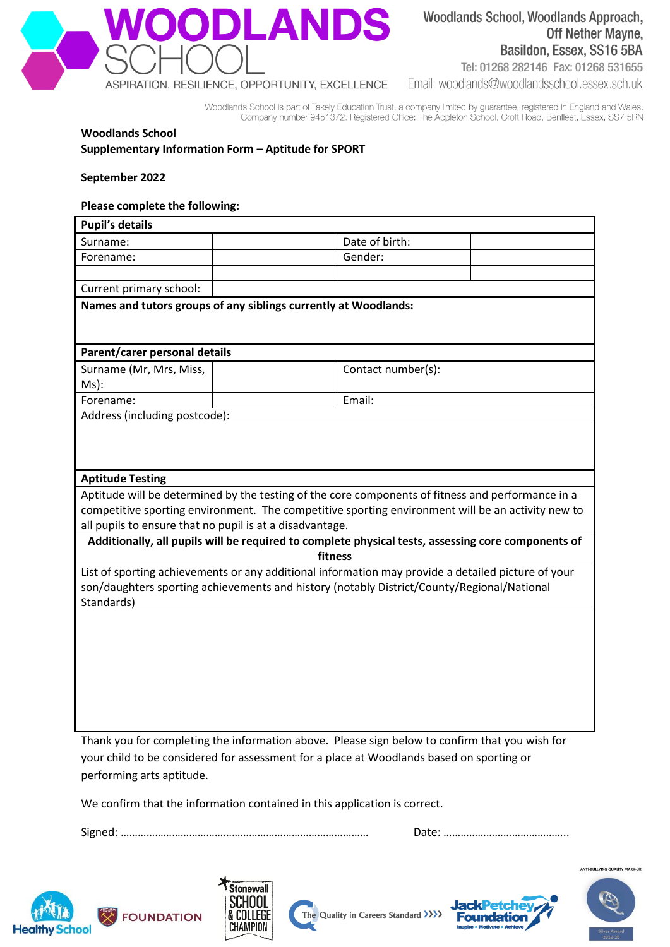

## Woodlands School, Woodlands Approach, **Off Nether Mayne,** Basildon, Essex, SS16 5BA

Tel: 01268 282146 Fax: 01268 531655

Email: woodlands@woodlandsschool.essex.sch.uk

Woodlands School is part of Takely Education Trust, a company limited by guarantee, registered in England and Wales. Company number 9451372. Registered Office: The Appleton School, Croft Road, Benfleet, Essex, SS7 5RN

#### **Woodlands School Supplementary Information Form – Aptitude for SPORT**

**September 2022**

#### **Please complete the following:**

| <b>Pupil's details</b>                                                                                                                                                                                                            |  |                    |  |  |
|-----------------------------------------------------------------------------------------------------------------------------------------------------------------------------------------------------------------------------------|--|--------------------|--|--|
| Surname:                                                                                                                                                                                                                          |  | Date of birth:     |  |  |
| Forename:                                                                                                                                                                                                                         |  | Gender:            |  |  |
|                                                                                                                                                                                                                                   |  |                    |  |  |
| Current primary school:                                                                                                                                                                                                           |  |                    |  |  |
| Names and tutors groups of any siblings currently at Woodlands:                                                                                                                                                                   |  |                    |  |  |
| Parent/carer personal details                                                                                                                                                                                                     |  |                    |  |  |
| Surname (Mr, Mrs, Miss,<br>Ms):                                                                                                                                                                                                   |  | Contact number(s): |  |  |
| Forename:                                                                                                                                                                                                                         |  | Email:             |  |  |
| Address (including postcode):                                                                                                                                                                                                     |  |                    |  |  |
| <b>Aptitude Testing</b><br>Aptitude will be determined by the testing of the core components of fitness and performance in a<br>competitive sporting environment. The competitive sporting environment will be an activity new to |  |                    |  |  |
| all pupils to ensure that no pupil is at a disadvantage.                                                                                                                                                                          |  |                    |  |  |
| Additionally, all pupils will be required to complete physical tests, assessing core components of<br>fitness                                                                                                                     |  |                    |  |  |
| List of sporting achievements or any additional information may provide a detailed picture of your<br>son/daughters sporting achievements and history (notably District/County/Regional/National<br>Standards)                    |  |                    |  |  |
|                                                                                                                                                                                                                                   |  |                    |  |  |

Thank you for completing the information above. Please sign below to confirm that you wish for your child to be considered for assessment for a place at Woodlands based on sporting or performing arts aptitude.

We confirm that the information contained in this application is correct.

Signed: …………………………………………………………………………… Date: ……………………………………..